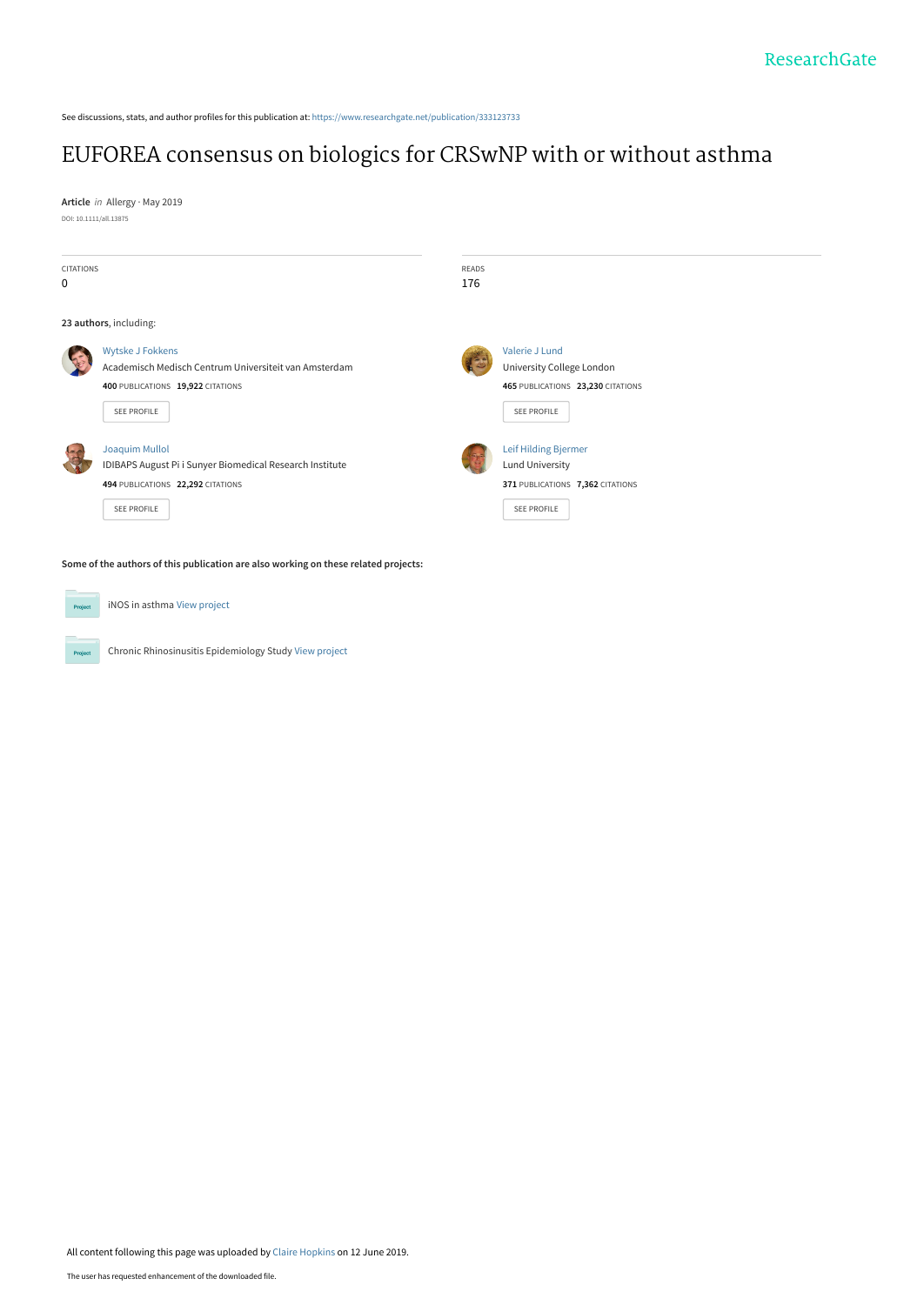See discussions, stats, and author profiles for this publication at: [https://www.researchgate.net/publication/333123733](https://www.researchgate.net/publication/333123733_EUFOREA_consensus_on_biologics_for_CRSwNP_with_or_without_asthma?enrichId=rgreq-8fca2d511b33e0cf162bbf028d1e8b75-XXX&enrichSource=Y292ZXJQYWdlOzMzMzEyMzczMztBUzo3NjkxMDAzMjIxOTM0MTNAMTU2MDM3OTIxNDk2Ng%3D%3D&el=1_x_2&_esc=publicationCoverPdf)

# [EUFOREA consensus on biologics for CRSwNP with or without asthma](https://www.researchgate.net/publication/333123733_EUFOREA_consensus_on_biologics_for_CRSwNP_with_or_without_asthma?enrichId=rgreq-8fca2d511b33e0cf162bbf028d1e8b75-XXX&enrichSource=Y292ZXJQYWdlOzMzMzEyMzczMztBUzo3NjkxMDAzMjIxOTM0MTNAMTU2MDM3OTIxNDk2Ng%3D%3D&el=1_x_3&_esc=publicationCoverPdf)

**Article** in Allergy · May 2019 DOI: 10.1111/all.13875

 $P_{\rm TC}$ 



Chronic Rhinosinusitis Epidemiology Study [View project](https://www.researchgate.net/project/Chronic-Rhinosinusitis-Epidemiology-Study-2?enrichId=rgreq-8fca2d511b33e0cf162bbf028d1e8b75-XXX&enrichSource=Y292ZXJQYWdlOzMzMzEyMzczMztBUzo3NjkxMDAzMjIxOTM0MTNAMTU2MDM3OTIxNDk2Ng%3D%3D&el=1_x_9&_esc=publicationCoverPdf)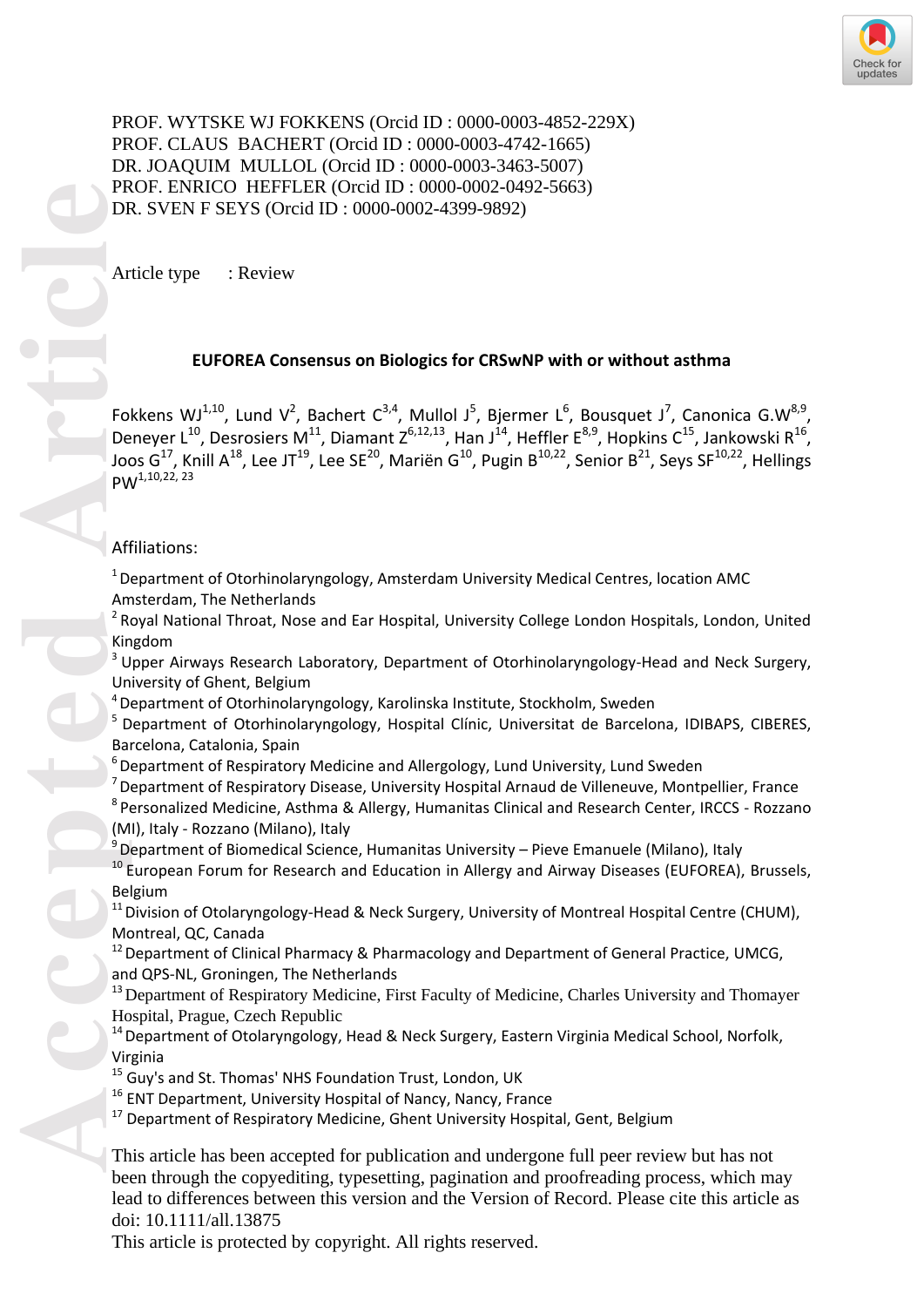PROF. WYTSKE WJ FOKKENS (Orcid ID: 0000-0003-4852-229X) PROF. CLAUS BACHERT (Orcid ID: 0000-0003-4742-1665) DR. JOAQUIM MULLOL (Orcid ID: 0000-0003-3463-5007) PROF. ENRICO HEFFLER (Orcid ID: 0000-0002-0492-5663) DR. SVEN F SEYS (Orcid ID: 0000-0002-4399-9892)

Article type : Review

# **EUFOREA Consensus on Biologics for CRSwNP with or without asthma**

PR<br>
DF<br>
Article<br>
Article<br>
Article<br>
Article<br>
Article<br>
Article<br>
Article<br>
Article<br>
Article<br>
Article<br>
Article<br>
Article<br>
Article<br>
Article<br>
Article<br>
Article<br>
Article<br>
Article<br>
Article<br>
Article<br>
Article<br>
Article<br>
Article<br>
Article Fokkens WJ<sup>1,10</sup>, Lund V<sup>2</sup>, Bachert C<sup>3,4</sup>, Mullol J<sup>5</sup>, Bjermer L<sup>6</sup>, Bousquet J<sup>7</sup>, Canonica G.W<sup>8,9</sup>, Deneyer L<sup>10</sup>, Desrosiers M<sup>11</sup>, Diamant Z<sup>6,12,13</sup>, Han J<sup>14</sup>, Heffler E<sup>8,9</sup>, Hopkins C<sup>15</sup>, Jankowski R<sup>16</sup>, Joos G<sup>17</sup>, Knill A<sup>18</sup>, Lee JT<sup>19</sup>, Lee SE<sup>20</sup>, Mariën G<sup>10</sup>, Pugin B<sup>10,22</sup>, Senior B<sup>21</sup>, Seys SF<sup>10,22</sup>, Hellings PW<sup>1,10,22, 23</sup>

# Affiliations:

 $1$  Department of Otorhinolaryngology, Amsterdam University Medical Centres, location AMC Amsterdam, The Netherlands

<sup>2</sup> Royal National Throat, Nose and Ear Hospital, University College London Hospitals, London, United Kingdom

<sup>3</sup> Upper Airways Research Laboratory, Department of Otorhinolaryngology-Head and Neck Surgery, University of Ghent, Belgium

 $4$  Department of Otorhinolaryngology, Karolinska Institute, Stockholm, Sweden

<sup>5</sup> Department of Otorhinolaryngology, Hospital Clínic, Universitat de Barcelona, IDIBAPS, CIBERES, Barcelona, Catalonia, Spain

 $6$  Department of Respiratory Medicine and Allergology, Lund University, Lund Sweden

<sup>7</sup>Department of Respiratory Disease, University Hospital Arnaud de Villeneuve, Montpellier, France

 $8$  Personalized Medicine, Asthma & Allergy, Humanitas Clinical and Research Center, IRCCS - Rozzano (MI), Italy - Rozzano (Milano), Italy

<sup>9</sup> Department of Biomedical Science, Humanitas University – Pieve Emanuele (Milano), Italy

<sup>10</sup> European Forum for Research and Education in Allergy and Airway Diseases (EUFOREA), Brussels, Belgium

<sup>11</sup> Division of Otolaryngology-Head & Neck Surgery, University of Montreal Hospital Centre (CHUM), Montreal, QC, Canada

 $12$  Department of Clinical Pharmacy & Pharmacology and Department of General Practice, UMCG, and QPS -NL, Groningen, The Netherlands

<sup>13</sup> Department of Respiratory Medicine, First Faculty of Medicine, Charles University and Thomayer Hospital, Prague, Czech Republic

<sup>14</sup> Department of Otolaryngology, Head & Neck Surgery, Eastern Virginia Medical School, Norfolk, Virginia

- <sup>15</sup> Guy's and St. Thomas' NHS Foundation Trust, London, UK
- <sup>16</sup> ENT Department, University Hospital of Nancy, Nancy, France
- $17$  Department of Respiratory Medicine, Ghent University Hospital, Gent, Belgium

This article has been accepted for publication and undergone full peer review but has not been through the copyediting, typesetting, pagination and proofreading process, which may lead to differences between this version and the Version of Record. Please cite this article as doi: 10.1111/all.13875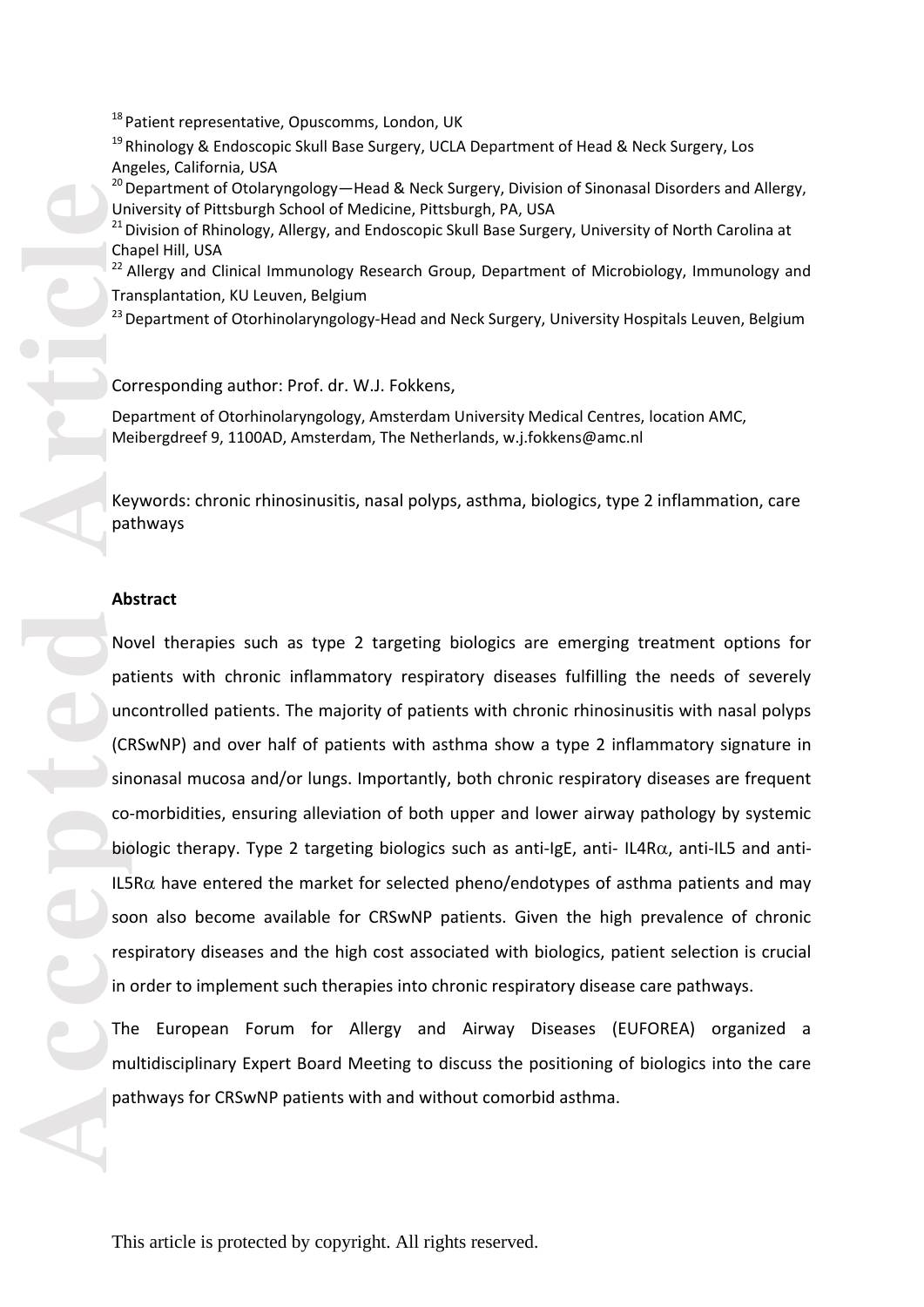<sup>18</sup> Patient representative, Opuscomms, London, UK

 $19$  Rhinology & Endoscopic Skull Base Surgery, UCLA Department of Head & Neck Surgery, Los Angeles, California, USA

<sup>20</sup> Department of Otolaryngology—Head & Neck Surgery, Division of Sinonasal Disorders and Allergy, University of Pittsburgh School of Medicine, Pittsburgh, PA, USA

<sup>21</sup> Division of Rhinology, Allergy, and Endoscopic Skull Base Surgery, University of North Carolina at Chapel Hill, USA

<sup>22</sup> Allergy and Clinical Immunology Research Group, Department of Microbiology, Immunology and Transplantation, KU Leuven, Belgium

<sup>23</sup> Department of Otorhinolaryngology-Head and Neck Surgery, University Hospitals Leuven, Belgium

Corresponding author: Prof. dr. W.J. Fokkens,

Department of Otorhinolaryngology, Amsterdam University Medical Centres, location AMC, Meibergdreef 9, 1100AD, Amsterdam, The Netherlands, w.j.fokkens@amc.nl

Keywords: chronic rhinosinusitis, nasal polyps, asthma, biologics, type 2 inflammation, care pathways

#### **Abstract**

<sup>11</sup> Patient representative, Opuscomms, London, UK<br>
<sup>11</sup> Rhinology & Endoscopic Skull Base Surgery, UCLA Departme<br>
Angeles, Galifornia, USA<br>
Angeles, Galifornia, USA<br>
Thepartment of Ochorygology—Head & Neck Surgery, Divisi Novel therapies such as type 2 targeting biologics are emerging treatment options for patients with chronic inflammatory respiratory diseases fulfilling the needs of severely uncontrolled patients. The majority of patients with chronic rhinosinusitis with nasal polyps (CRSwNP) and over half of patients with asthma show a type 2 inflammatory signature in sinonasal mucosa and/or lungs. Importantly, both chronic respiratory diseases are frequent co -morbidities, ensuring alleviation of both upper and lower airway pathology by systemic biologic therapy. Type 2 targeting biologics such as anti-IgE, anti-IL4R $\alpha$ , anti-IL5 and anti-IL5R $\alpha$  have entered the market for selected pheno/endotypes of asthma patients and may soon also become available for CRSwNP patients. Given the high prevalence of chronic respiratory diseases and the high cost associated with biologics, patient selection is crucial in order to implement such therapies into chronic respiratory disease care pathways.

The European Forum for Allergy and Airway Diseases (EUFOREA) organized a multidisciplinary Expert Board Meeting to discuss the positioning of biologics into the care pathways for CRSwNP patients with and without comorbid asthma.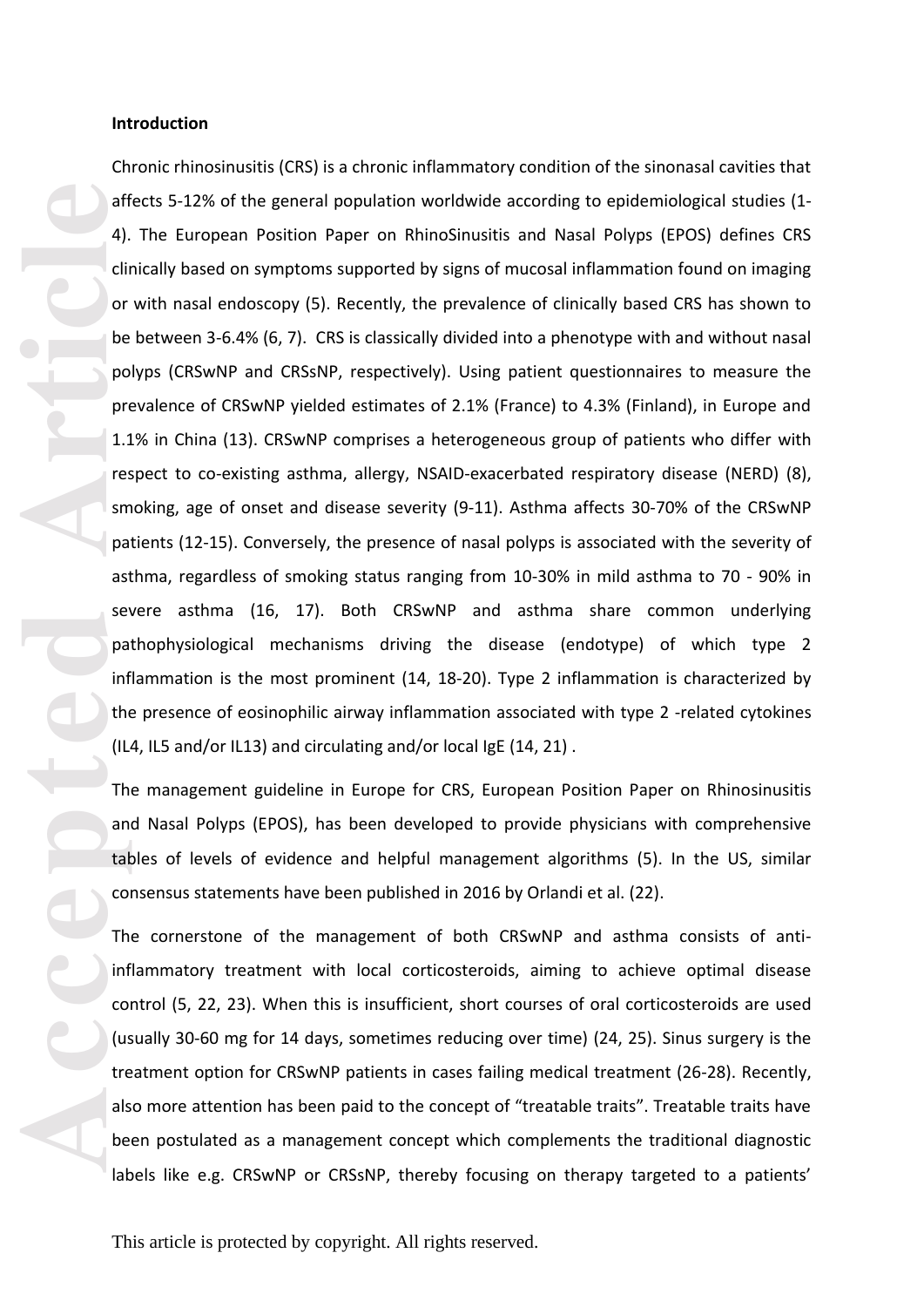#### **Introduction**

Chronic rhinosinusitis (CRS) is a chronic inflammatory condition of the sinonasal cavities that affects 5 -12% of the general population worldwide according to epidemiological studies (1 - 4). The European Position Paper on RhinoSinusitis and Nasal Polyps (EPOS) defines CRS clinically based on symptoms supported by signs of mucosal inflammation found on imaging or with nasal endoscopy (5). Recently, the prevalence of clinically based CRS has shown to be between 3 -6.4% (6, 7). CRS is classically divided into a phenotype with and without nasal polyps (CRSwNP and CRSsNP, respectively). Using patient questionnaires to measure the prevalence of CRSwNP yielded estimates of 2.1% (France) to 4.3% (Finland), in Europe and 1.1% in China (13). CRSwNP comprises a heterogeneous group of patients who differ with respect to co -existing asthma, allergy, NSAID -exacerbated respiratory disease (NERD) (8), smoking, age of onset and disease severity (9 -11). Asthma affects 30 -70% of the CRSwNP patients (12 -15). Conversely, the presence of nasal polyps is associated with the severity of asthma, regardless of smoking status ranging from 10-30% in mild asthma to 70 - 90% in severe asthma (16, 17). Both CRSwNP and asthma share common underlying pathophysiological mechanisms driving the disease (endotype) of which type 2 inflammation is the most prominent (14, 18 -20). Type 2 inflammation is characterized by the presence of eosinophilic airway inflammation associated with type 2 -related cytokines (IL4, IL5 and/or IL13) and circulating and/or local IgE (14, 21) .

The management guideline in Europe for CRS, European Position Paper on Rhino sinusitis and Nasal Polyps (EPOS), has been developed to provide physicians with comprehensive tables of levels of evidence and helpful management algorithms (5). In the US, similar consensus statements have been published in 2016 by Orlandi et al. (22).

The cornerstone of the management of both CRSwNP and asthma consists of anti inflammatory treatment with local corticosteroids, aiming to achieve optimal disease control (5, 22, 23). When this is insufficient, short courses of oral corticosteroids are used (usually 30 -60 mg for 14 days, sometimes reducing over time) (24, 25). Sinus surgery is the treatment option for CRSwNP patients in cases failing medical treatment (26 -28). Recently, also more attention has been paid to the concept of "treatable traits". Treatable traits have been postulated as a management concept which complements the traditional diagnostic labels like e.g. CRSwNP or CRSsNP, thereby focusing on therapy targeted to a patients'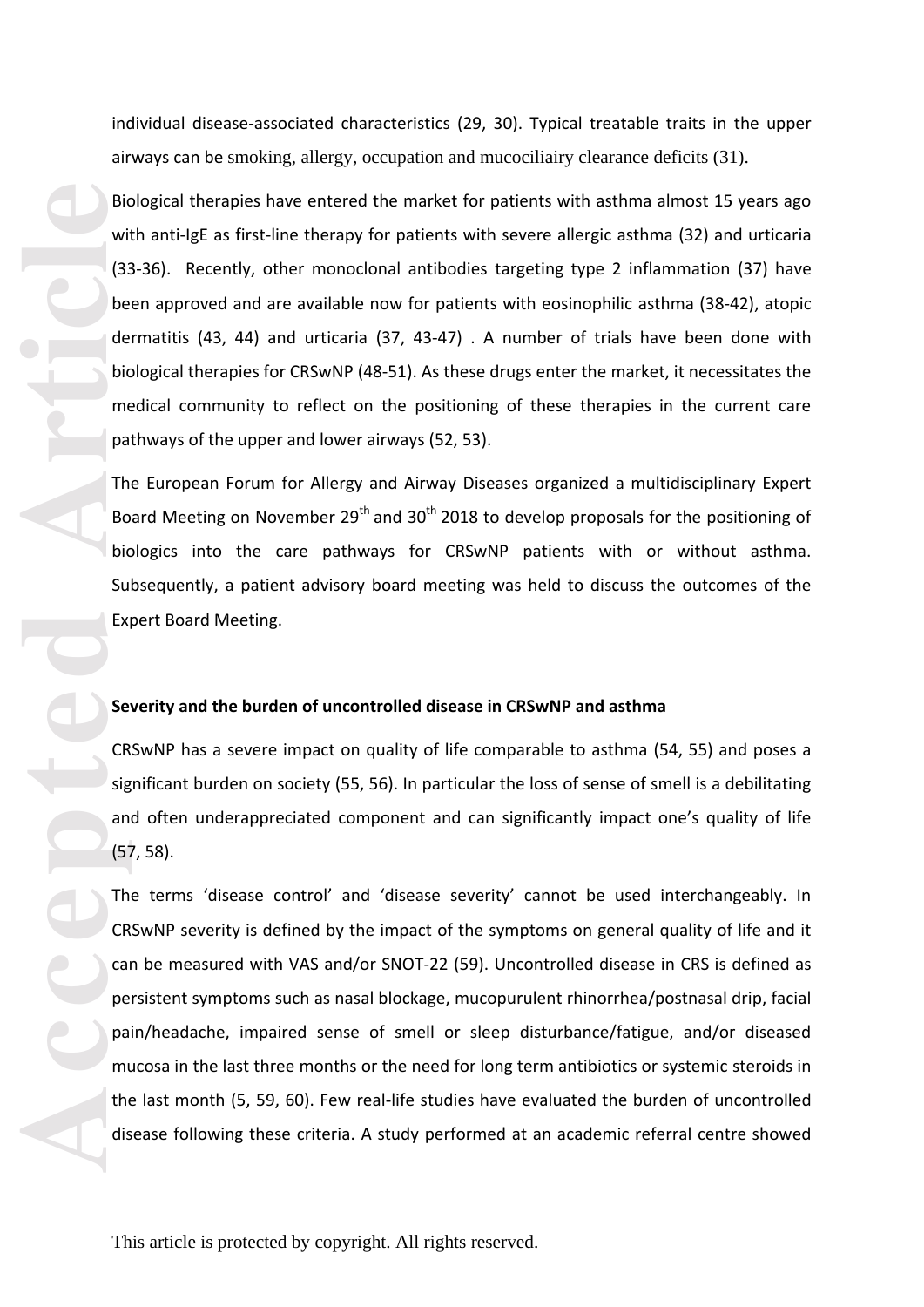individual disease -associated characteristics (29, 30). Typical treatable traits in the upper airways can be smoking, allergy, occupation and mucociliairy clearance deficits (31) .

Biological therapies have entered the market for patients with asthma almost 15 years ago with anti-IgE as first-line therapy for patients with severe allergic asthma (32) and urticaria (33 -36). Recently, other monoclonal antibodies targeting type 2 inflammation (37) have been approved and are available now for patients with eosinophilic asthma (38 -42), atopic dermatitis (43, 44) and urticaria (37, 43 -47) . A number of trials have been done with biological therapies for CRSwNP (48 -51). As these drugs enter the market, it necessitates the medical community to reflect on the positioning of these therapies in the current care pathways of the upper and lower airways (52, 53) .

The European Forum for Allergy and Airway Diseases organized a multidisciplinary Expert Board Meeting on November  $29<sup>th</sup>$  and  $30<sup>th</sup>$  2018 to develop proposals for the positioning of biologics into the care pathways for CRSwNP patients with or without asthma. Subsequently, a patient advisory board meeting was held to discuss the outcomes of the Expert Board Meeting.

## **Severity and the burden of uncontrolled disease in CRSwNP and asthma**

CRSwNP has a severe impact on quality of life comparable to asthma (54, 55) and poses a significant burden on society (55, 56). In particular the loss of sense of smell is a debilitating and often underappreciated component and can significantly impact one's quality of life (57, 58) .

Bic<br>
with (3:<br>
be de bic<br>
de bic<br>
me pa Th Bo bic<br>
sur<br>
sur<br>
Se CR<br>
sig an<br>
(5;<br>
Th CR<br>
ca pe pa mu th dis<br>
me pa mu th dis The terms 'disease control' and 'disease severity' cannot be used interchangeably. In CRSwNP severity is defined by the impact of the symptoms on general quality of life and it can be measured with VAS and/or SNOT -22 (59). Uncontrolled disease in CRS is defined as persistent symptoms such as nasal blockage, mucopurulent rhinorrhea/postnasal drip, facial pain/headache, impaired sense of smell or sleep disturbance/fatigue, and/or diseased mucosa in the last three months or the need for long term antibiotics or systemic steroids in the last month (5, 59, 60). Few real-life studies have evaluated the burden of uncontrolled disease following these criteria. A study performed at an academic referral centre showed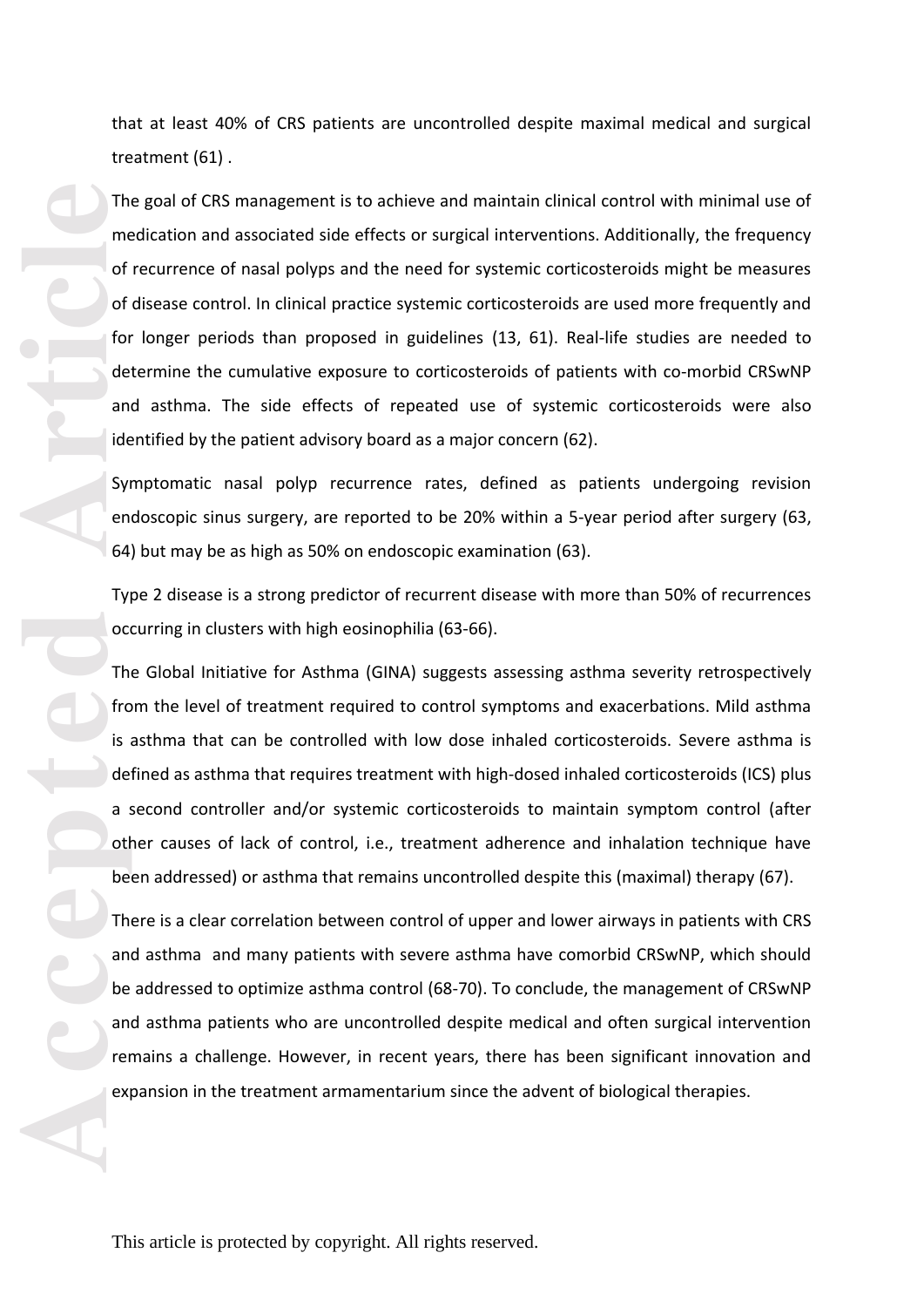that at least 40% of CRS patients are uncontrolled despite maximal medical and surgical treatment (61) .

The goal of CRS management is to achieve and maintain clinical control with minimal use of medication and associated side effects or surgical interventions. Additionally, the frequency of recurrence of nasal polyps and the need for systemic corticosteroids might be measures of disease control. In clinical practice systemic corticosteroids are used more frequently and for longer periods than proposed in guidelines (13, 61). Real -life studies are needed to determine the cumulative exposure to corticosteroids of patients with co-morbid CRSwNP and asthma. The side effects of repeated use of systemic corticosteroids were also identified by the patient advisory board as a major concern (62) .

Symptomatic nasal polyp recurrence rates, defined as patients undergoing revision endoscopic sinus surgery, are reported to be 20% within a 5 -year period after surgery (63, 64) but may be as high as 50% on endoscopic examination (63) .

Type 2 disease is a strong predictor of recurrent disease with more than 50% of recurrences occurring in clusters with high eosinophilia (63 -66).

The method of the method of the method of the method of the method of the method of the method of the method of the method of the method of the method of the method of the method of the method of the method of the method o The Global Initiative for Asthma (GINA) suggests assessing asthma severity retrospectively from the level of treatment required to control symptoms and exacerbations. Mild asthma is asthma that can be controlled with low dose inhaled corticosteroids. Severe asthma is defined as asthma that requires treatment with high -dosed inhaled corticosteroids (ICS) plus a second controller and/or systemic corticosteroids to maintain symptom control (after other causes of lack of control, i.e., treatment adherence and inhalation technique have been addressed) or asthma that remains uncontrolled despite this (maximal) therapy (67) .

There is a clear correlation between control of upper and lower airways in patients with CRS and asthma and many patients with severe asthma have comorbid CRSwNP, which should be addressed to optimize asthma control (68 -70) . To conclude, the management of CRSwNP and asthma patients who are uncontrolled despite medical and often surgical intervention remains a challenge. However, in recent years, there has been significant innovation and expansion in the treatment armamentarium since the advent of biological therapies.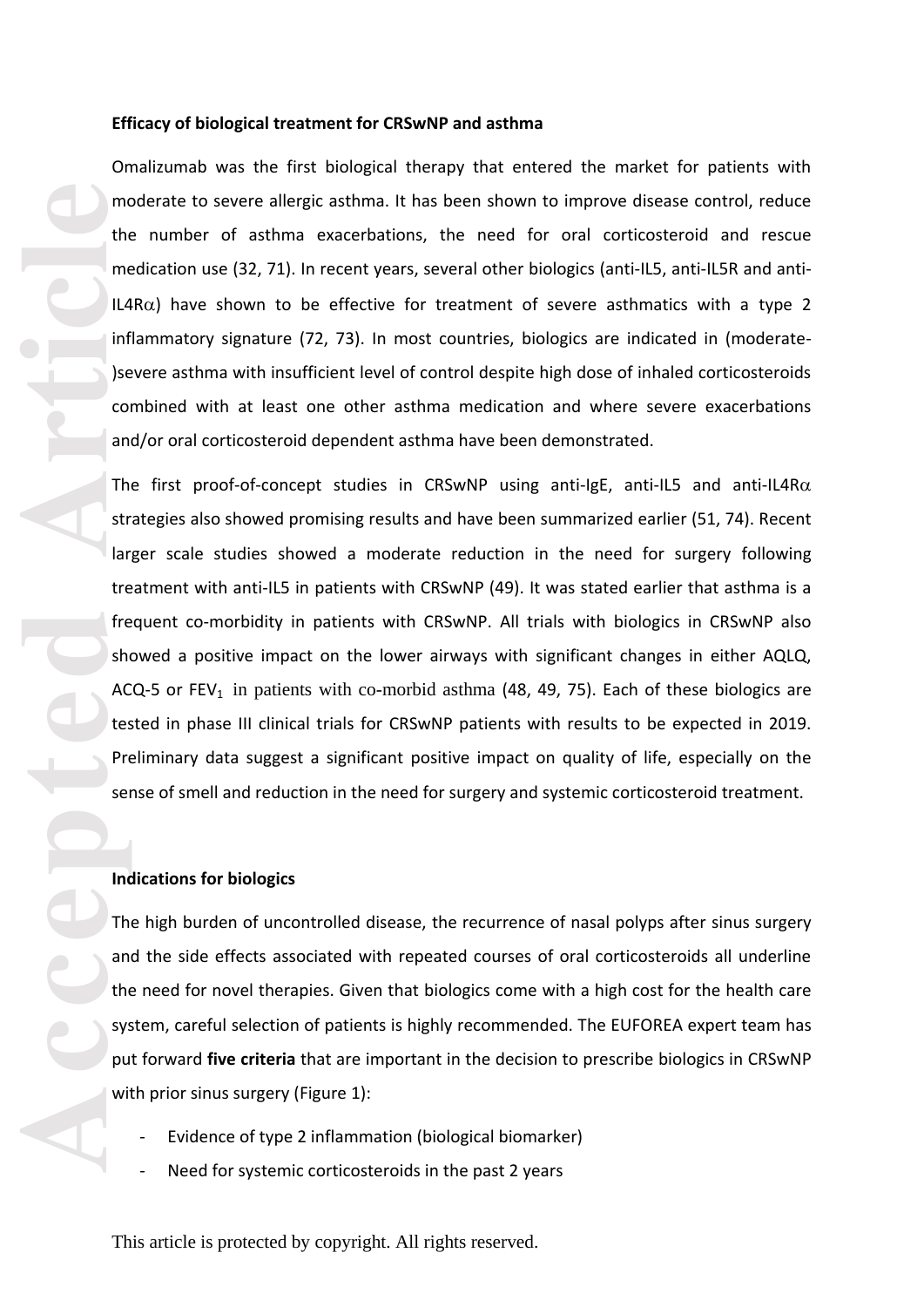#### **Efficacy of biological treatment for CRSwNP and asthma**

Omalizumab was the first biological therapy that entered the market for patients with moderate to severe allergic asthma. It has been shown to improve disease control, reduce the number of asthma exacerbations, the need for oral corticosteroid and rescue medication use (32, 71). In recent years, several other biologics (anti-IL5, anti-IL5R and anti-IL4R $\alpha$ ) have shown to be effective for treatment of severe asthmatics with a type 2 inflammatory signature (72, 73). In most countries, biologics are indicated in (moderate-)severe asthma with insufficient level of control despite high dose of inhaled corticosteroids combined with at least one other asthma medication and where severe exacerbations and/or oral corticosteroid dependent asthma have been demonstrated.

Media Contract of the Man of the Man of the Man of the State of the State of the State of the State of the State of the State of the State of the State of the State of the State of the State of the State of the State of th The first proof-of-concept studies in CRSwNP using anti-IgE, anti-IL5 and anti-IL4R $\alpha$ strategies also showed promising results and have been summarized earlier (51, 74) . Recent larger scale studies showed a moderate reduction in the need for surgery following treatment with anti-IL5 in patients with CRSwNP (49). It was stated earlier that asthma is a frequent co -morbidity in patients with CRSwNP. All trials with biologics in CRSwNP also showed a positive impact on the lower airways with significant changes in either AQLQ, ACQ-5 or  $FEV_1$  in patients with co-morbid asthma (48, 49, 75). Each of these biologics are tested in phase III clinical trials for CRSwNP patients with results to be expected in 2019. Preliminary data suggest a significant positive impact on quality of life, especially on the sense of smell and reduction in the need for surgery and systemic corticosteroid treatment.

## **Indications for biologics**

The high burden of uncontrolled disease, the recurrence of nasal polyps after sinus surgery and the side effects associated with repeated courses of oral corticosteroids all underline the need for novel therapies. Given that biologics come with a high cost for the health care system, careful selection of patients is highly recommended. The EUFOREA expert team has put forward **five criteria** that are important in the decision to prescribe biologics in CRSwNP with prior sinus surgery (Figure 1 ) :

- Evidence of type 2 inflammation (biological biomarker)
- Need for systemic corticosteroids in the past 2 years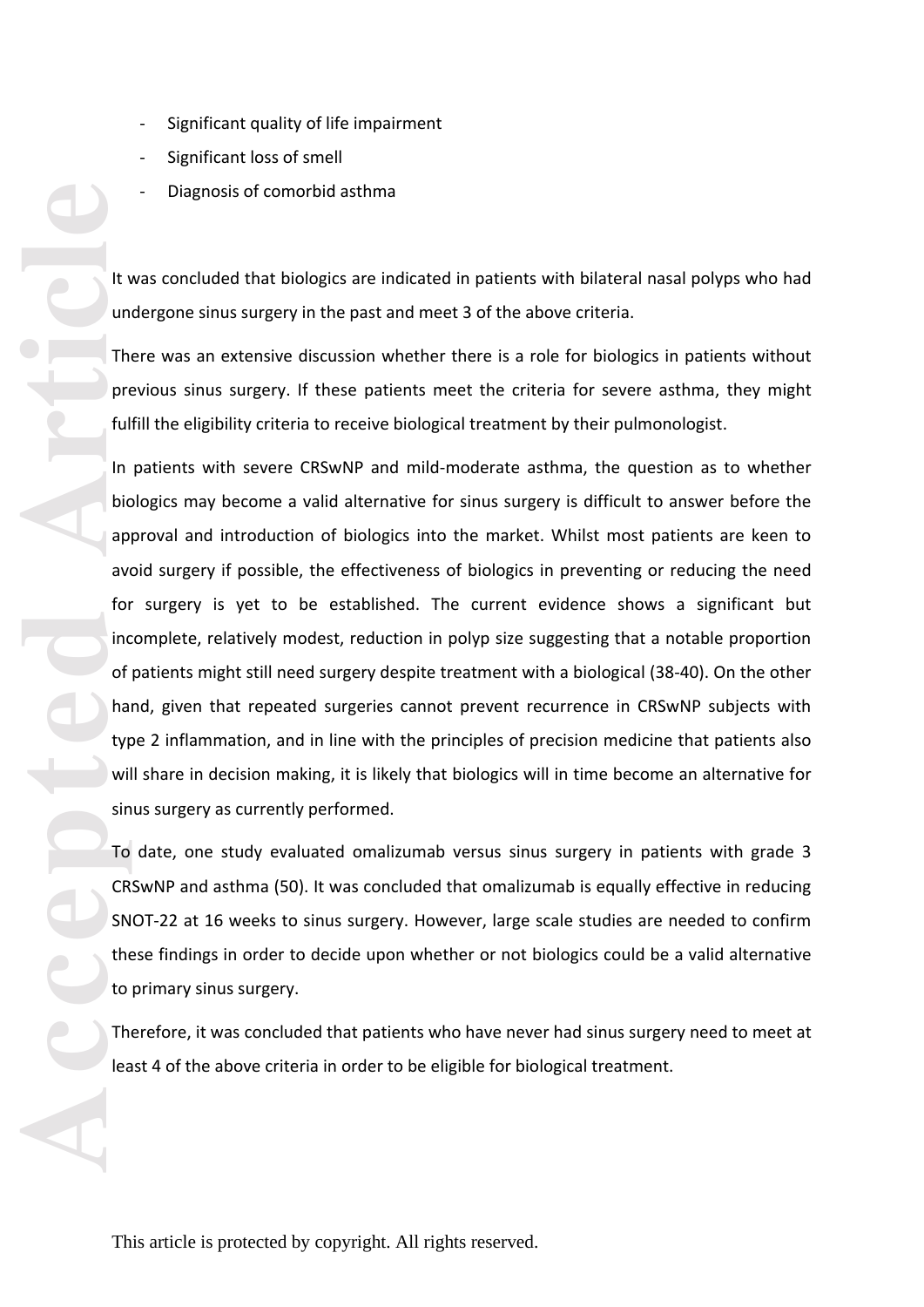- 
- 
- 

It was concluded that biologics are indicated in patients with bilateral nasal polyps who had undergone sinus surgery in the past and meet 3 of the above criteria.

There was an extensive discussion whether there is a role for biologics in patients without previous sinus surgery. If these patients meet the criteria for severe asthma , they might fulfill the eligibility criteria to receive biological treatment by their pulmonologist .

**Accepted Article**<br> **Article**<br> **Article**<br> **Article**<br> **Article**<br> **Article**<br> **Article**<br> **Article**<br> **Article**<br> **Article**<br> **Article**<br> **Article**<br> **Article**<br> **Article**<br> **Article**<br> **Article**<br> **Article**<br> **Article**<br> **Article**<br> **A** - Significant quality of life impairment<br>- Significant loss of smell<br>- Diagnosis of comorbid asthma<br>- This article is proton as the stand methanological methanological methanological methanological methanological methanolo In patients with severe CRSwNP and mild -moderate asthma, the question as to whether biologics may become a valid alternative for sinus surgery is difficult to answer before the approval and introduction of biologics into the market. Whilst most patients are keen to avoid surgery if possible, the effectiveness of biologics in preventing or reducing the need for surgery is yet to be established. The current evidence shows a significant but incomplete, relatively modest, reduction in polyp size suggesting that a notable proportion of patients might still need surgery despite treatment with a biological (38 -40). On the other hand, given that repeated surgeries cannot prevent recurrence in CRSwNP subjects with type 2 inflammation, and in line with the principles of precision medicine that patients also will share in decision making, it is likely that biologics will in time become an alternative for sinus surgery as currently performed.

To date, one study evaluated omalizumab versus sinus surgery in patients with grade 3 CRSwNP and asthma (50). It was concluded that omalizumab is equally effective in reducing SNOT -22 at 16 weeks to sinus surgery. However, large scale studies are needed to confirm these findings in order to decide upon whether or not biologics could be a valid alternative to primary sinus surgery.

Therefore, it was concluded that patients who have never had sinus surgery need to meet at least 4 of the above criteria in order to be eligible for biological treatment.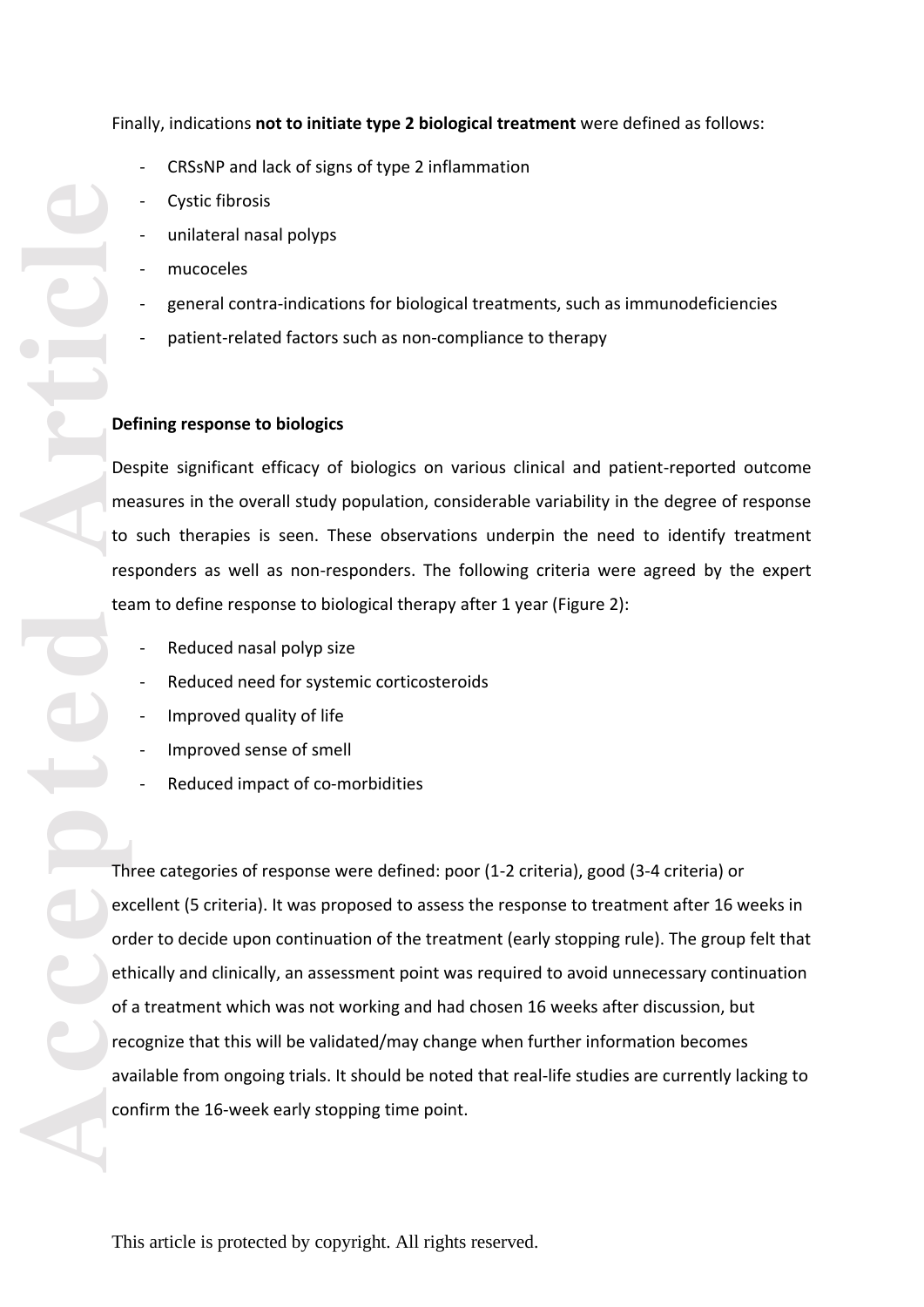- CRSsNP and lack of signs of type 2 inflammation
- Cystic fibrosis
- unilateral nasal polyps
- mucoceles
- general contra-indications for biological treatments, such as immunodeficiencies
- patient-related factors such as non-compliance to therapy

## **Defining response to biologics**

Despite significant efficacy of biologics on various clinical and patient -reported outcome measures in the overall study population, considerable variability in the degree of response to such therapies is seen. These observations underpin the need to identify treatment responders as well as non-responders. The following criteria were agreed by the expert team to define response to biological therapy after 1 year (Figure 2 ):

- Reduced nasal polyp size
- Reduced need for systemic corticosteroids
- Improved quality of life
- Improved sense of smell
- Reduced impact of co-morbidities

Three categories of response were defined: poor (1 -2 criteria), good (3 -4 criteria) or excellent (5 criteria). It was proposed to assess the response to treatment after 16 weeks in order to decide upon continuation of the treatment (early stopping rule). The group felt that ethically and clinically, an assessment point was required to avoid unnecessary continuation of a treatment which was not working and had chosen 16 weeks after discussion, but recognize that this will be validated/may change when further information becomes available from ongoing trials. It should be noted that real -life studies are currently lacking to confirm the 16 -week early stopping time point.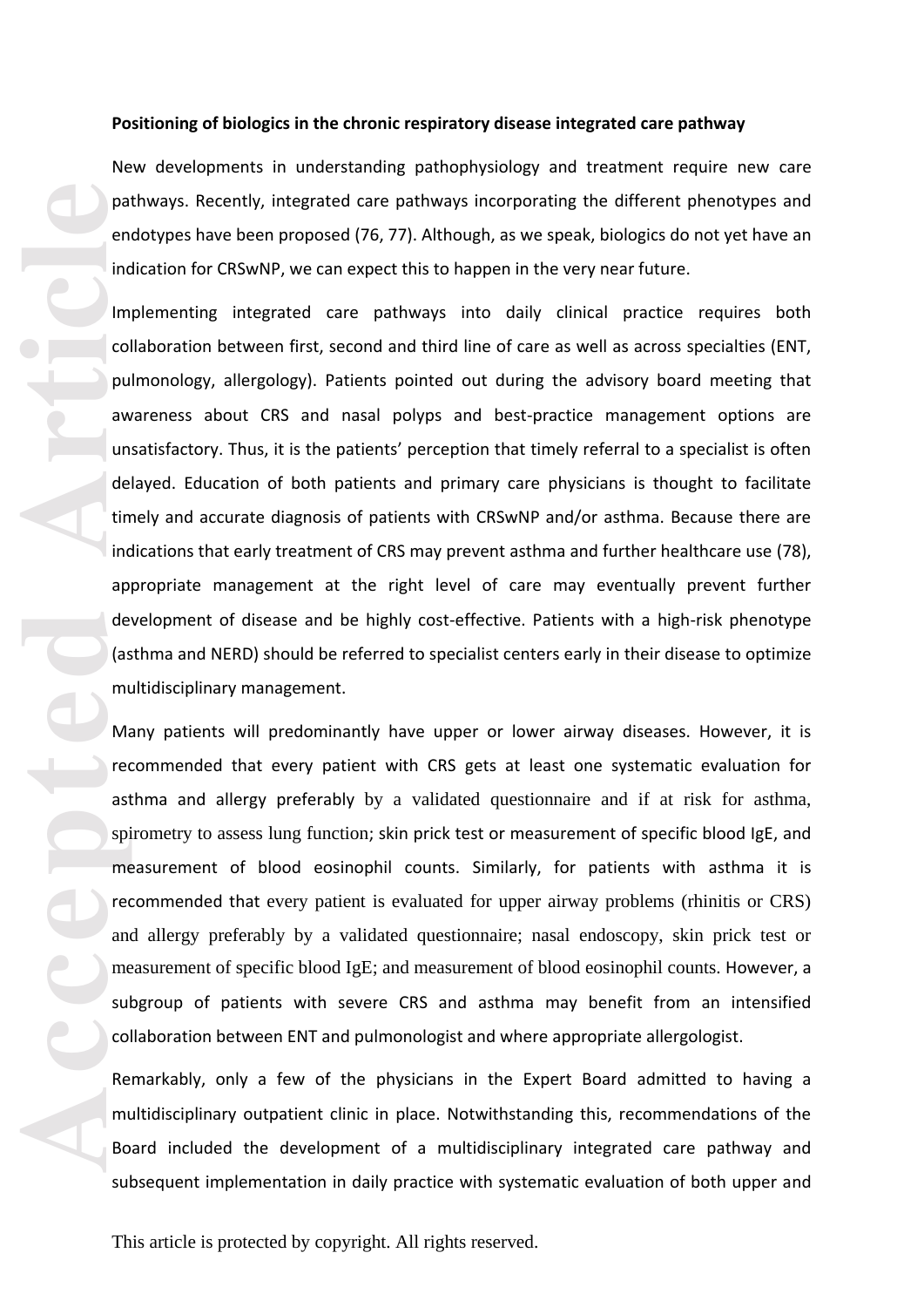#### **Positioning of biologics in the chronic respiratory disease integrated care pathway**

New developments in understanding pathophysiology and treatment require new care pathways. Recently, integrated care pathways incorporating the different phenotypes and endotypes have been proposed (76, 77). Although, as we speak, biologics do not yet have an indication for CRSwNP , we can expect this to happen in the very near future.

Implementing integrated care pathways into daily clinical practice requires both collaboration between first, second and third line of care as well as across specialties (ENT, pulmonology, allergology). Patients pointed out during the advisory board meeting that awareness about CRS and nasal polyps and best -practice management options are unsatisfactory. Thus, it is the patients' perception that timely referral to a specialist is often delayed. Education of both patients and primary care physicians is thought to facilitate timely and accurate diagnosis of patients with CRSwNP and/or asthma. Because there are indication s that early treatment of CRS may prevent asthma and further healthcare use (78), appropriate management at the right level of care may eventually prevent further development of disease and be highly cost-effective. Patients with a high-risk phenotype (asthma and NERD) should be referred to specialist centers early in their disease to optimize multidisciplinary management .

Many patients will predominantly have upper or lower airway diseases. However, it is recommended that every patient with CRS gets at least one systematic evaluation for asthma and allergy preferably by a validated questionnaire and if at risk for asthma, spirometry to assess lung function; skin prick test or measurement of specific blood IgE , and measurement of blood eosinophil counts. Similarly, for patients with asthma it is recommended that every patient is evaluated for upper airway problems (rhinitis or CRS) and allergy preferably by a validated questionnaire; nasal endoscopy, skin prick test or measurement of specific blood IgE; and measurement of blood eosinophil counts. However, a subgroup of patients with severe CRS and asthma may benefit from an intensified collaboration between ENT and pulmonologist and where appropriate allergologist .

Remarkably, only a few of the physicians in the Expert Board admitted to having a multidisciplinary outpatient clinic in place. Notwithstanding this, recommendations of the Board included the development of a multidisciplinary integrated care pathway and subsequent implementation in daily practice with systematic evaluation of both upper and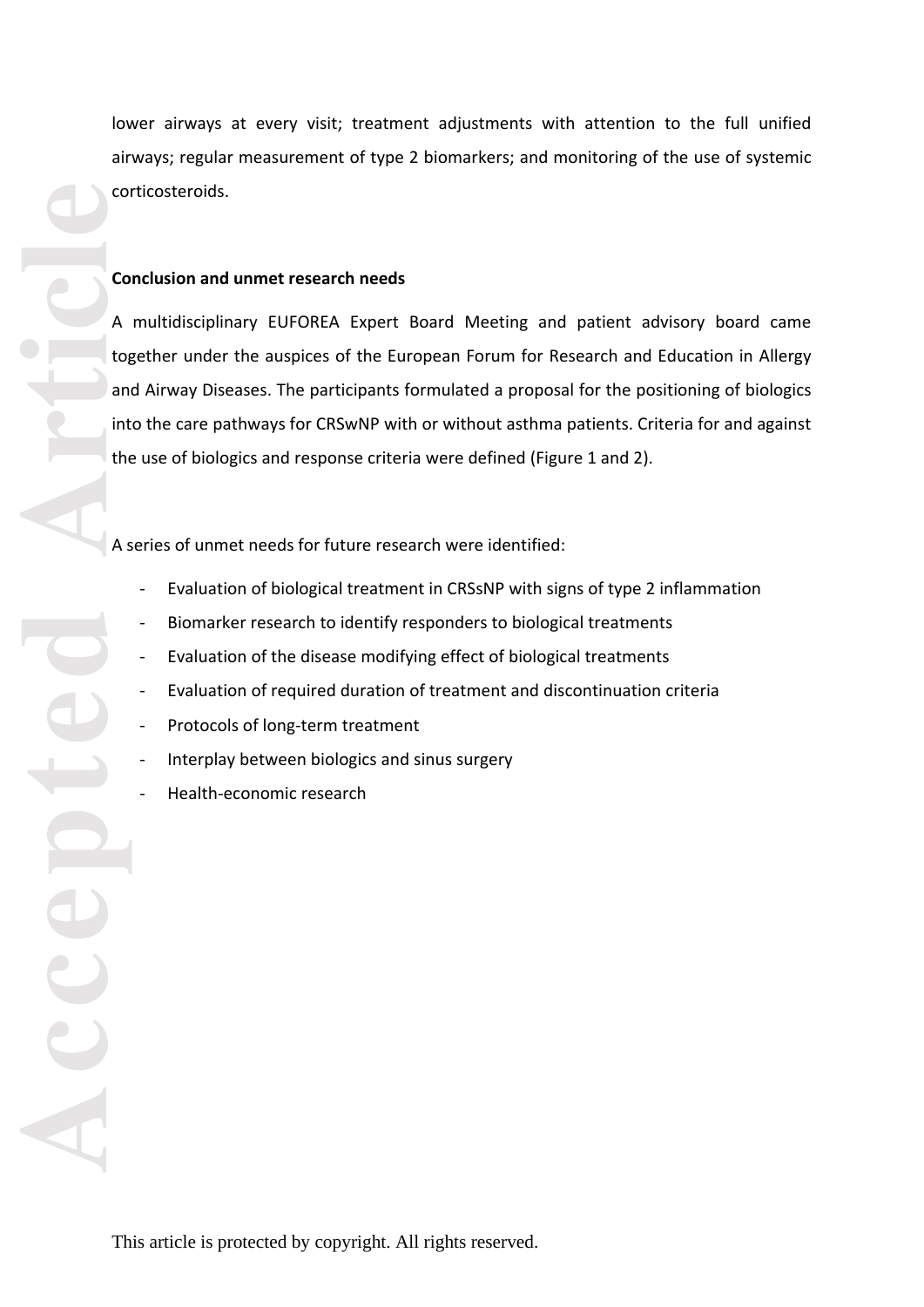lower airways at every visit; treatment adjustments with attention to the full unified airways; regular measurement of type 2 biomarkers; and monitoring of the use of systemic corticosteroids.

## **Conclusion and unmet research needs**

ACCEPTED<sup></sup> A multidisciplinary EUFOREA Expert Board Meeting and patient advisory board came together under the auspices of the European Forum for Research and Education in Allergy and Airway Diseases. The participants formulated a proposal for the positioning of biologics into the care pathways for CRSwNP with or without asthma patients. Criteria for and against the use of biologics and response criteria were defined (Figure 1 and 2).

A series of unmet needs for future research were identified:

- Evaluation of biological treatment in CRSsNP with signs of type 2 inflammation
- Biomarker research to identify responders to biological treatments
- Evaluation of the disease modifying effect of biological treatments
- Evaluation of required duration of treatment and discontinuation criteria
- Protocols of long-term treatment
- Interplay between biologics and sinus surgery
- Health-economic research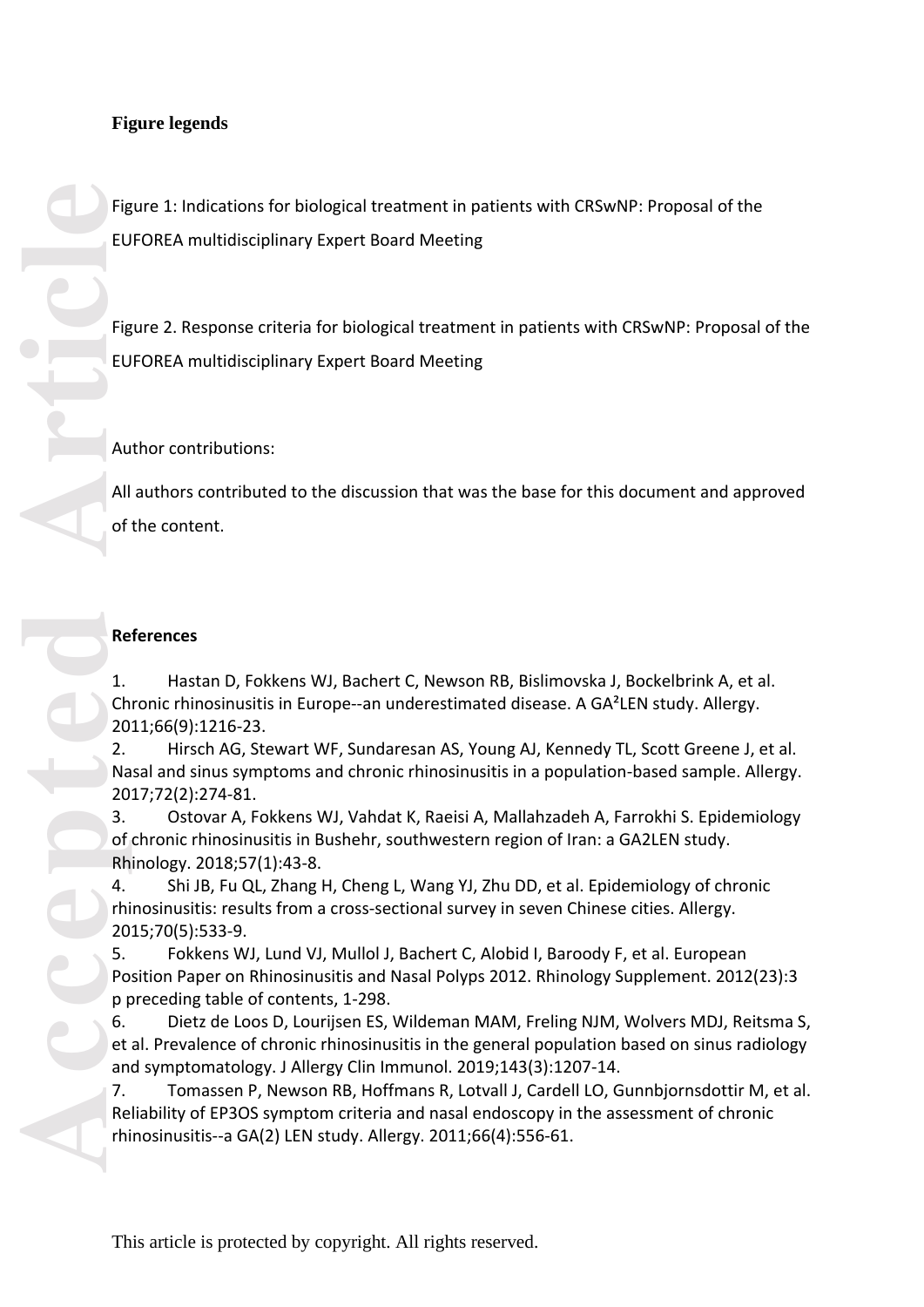# **Figure legends**

Figure 1: Indications for biological treatment in patients with CRSwNP: Proposal of the EUFOREA multidisciplinary Expert Board Meeting

Figure 2. Response criteria for biological treatment in patients with CRSwNP: Proposal of the EUFOREA multidisciplinary Expert Board Meeting

Author contributions:

All authors contributed to the discussion that was the base for this document and approved of the content.

## **References**

1. Hastan D, Fokkens WJ, Bachert C, Newson RB, Bislimovska J, Bockelbrink A, et al. Chronic rhinosinusitis in Europe--an underestimated disease. A GA²LEN study. Allergy. 2011;66(9):1216 -23.

2. Hirsch AG, Stewart WF, Sundaresan AS, Young AJ, Kennedy TL, Scott Greene J, et al. Nasal and sinus symptoms and chronic rhinosinusitis in a population -based sample. Allergy. 2017;72(2):274 -81.

3. Ostovar A, Fokkens WJ, Vahdat K, Raeisi A, Mallahzadeh A, Farrokhi S. Epidemiology of chronic rhinosinusitis in Bushehr, southwestern region of Iran: a GA2LEN study. Rhinology. 2018;57(1):43 -8.

4. Shi JB, Fu QL, Zhang H, Cheng L, Wang YJ, Zhu DD, et al. Epidemiology of chronic rhinosinusitis: results from a cross -sectional survey in seven Chinese cities. Allergy. 2015;70(5):533 -9.

5. Fokkens WJ, Lund VJ, Mullol J, Bachert C, Alobid I, Baroody F, et al. European Position Paper on Rhinosinusitis and Nasal Polyps 2012. Rhinology Supplement. 2012(23):3 p preceding table of contents, 1 -298.

6. Dietz de Loos D, Lourijsen ES, Wildeman MAM, Freling NJM, Wolvers MDJ, Reitsma S, et al. Prevalence of chronic rhinosinusitis in the general population based on sinus radiology and symptomatology. J Allergy Clin Immunol. 2019;143(3):1207 -14.

7. Tomassen P, Newson RB, Hoffmans R, Lotvall J, Cardell LO, Gunnbjornsdottir M, et al. Reliability of EP3OS symptom criteria and nasal endoscopy in the assessment of chronic rhinosinusitis--a GA(2) LEN study. Allergy. 2011;66(4):556 -61.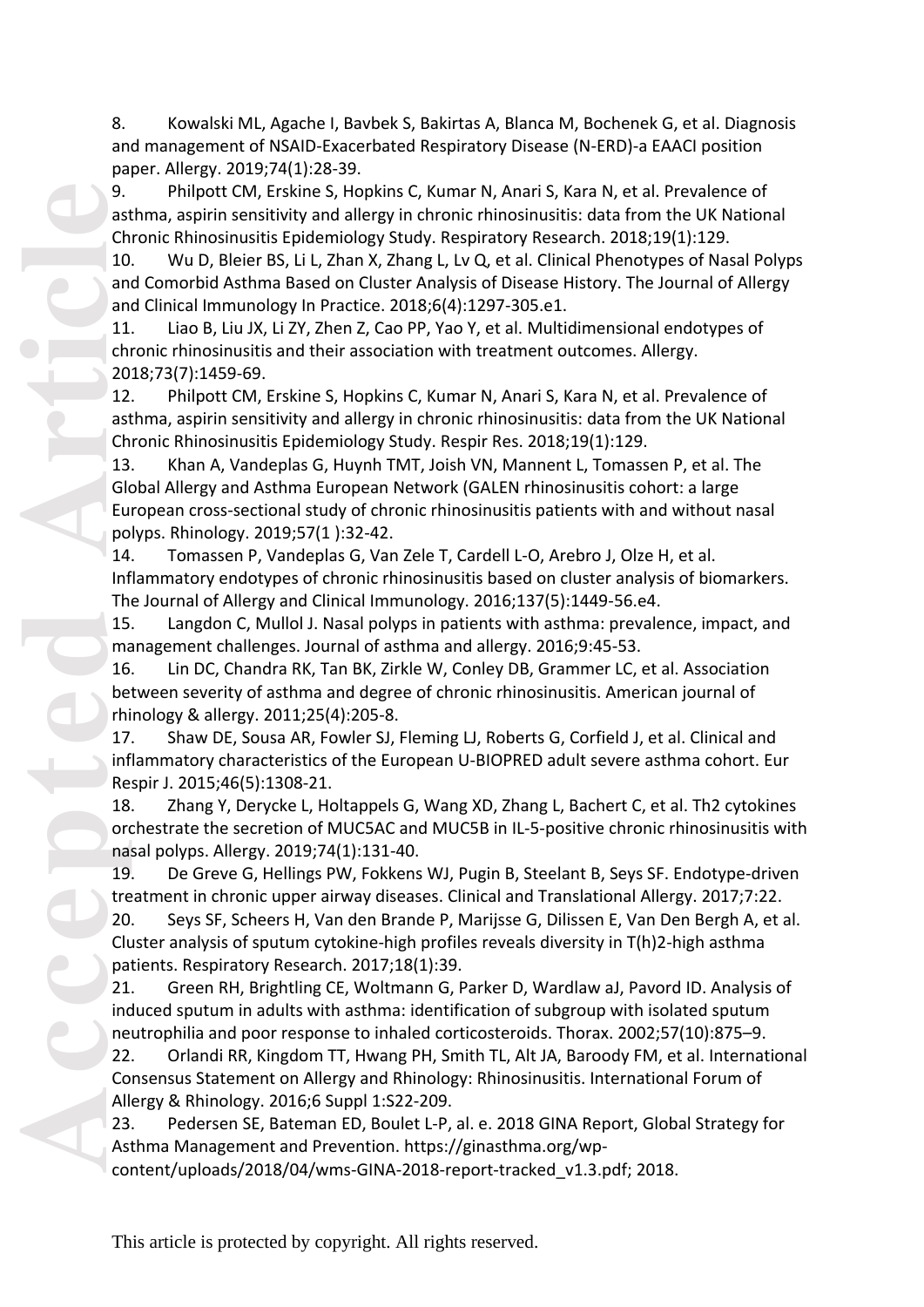8. Kowalski ML, Agache I, Bavbek S, Bakirtas A, Blanca M, Bochenek G, et al. Diagnosis and management of NSAID -Exacerbated Respiratory Disease (N -ERD) -a EAACI position paper. Allergy. 2019;74(1):28 -39.

9. Philpott CM, Erskine S, Hopkins C, Kumar N, Anari S, Kara N, et al. Prevalence of asthma, aspirin sensitivity and allergy in chronic rhinosinusitis: data from the UK National Chronic Rhinosinusitis Epidemiology Study. Respiratory Research. 2018;19(1):129.

10. Wu D, Bleier BS, Li L, Zhan X, Zhang L, Lv Q, et al. Clinical Phenotypes of Nasal Polyps and Comorbid Asthma Based on Cluster Analysis of Disease History. The Journal of Allergy and Clinical Immunology In Practice. 2018;6(4):129 7 -305.e1.

11. Liao B, Liu JX, Li ZY, Zhen Z, Cao PP, Yao Y, et al. Multidimensional endotypes of chronic rhinosinusitis and their association with treatment outcomes. Allergy. 2018;73(7):1459 -69.

12. Philpott CM, Erskine S, Hopkins C, Kumar N, Anari S, Kara N, et al. Prevalence of asthma, aspirin sensitivity and allergy in chronic rhinosinusitis: data from the UK National Chronic Rhinosinusitis Epidemiology Study. Respir Res. 2018;19(1):129.

9.<br>
ast Ch<br>
10 am<br>
am<br>
11 ch<br>
20 12<br>
ast Ch<br>
20 12<br>
ast Ch<br>
13 Gk<br>
Eu po 14 Inf Th<br>
15 ma<br>
16 be thi<br>
17 inf Re<br>
18 orc<br>
18 Pu<br>
20 Cl<br>
18 Pu<br>
16 Pu<br>
16 Pu<br>
16 Pu<br>
16 Pu<br>
18 Pu<br>
18 Pu<br>
20 Cl<br>
18 Pu<br>
18 Pu<br>
18 Pu<br>
20 Cl<br>
18 13. Khan A, Vandeplas G, Huynh TMT, Joish VN, Mannent L, Tomassen P, et al. The Global Allergy and Asthma European Network (GALEN rhinosinusitis cohort: a large European cross -sectional study of chronic rhinosinusitis patients with and without nasal polyps. Rhinology. 2019;57(1 ):32 -42.

14. Tomassen P, Vandeplas G, Van Zele T, Cardell L -O, Arebro J, Olze H, et al. Inflammatory endotypes of chronic rhinosinusitis based on cluster analysis of biomarkers. The Journal of Allergy and Clinical Immunology. 2016;137(5):1449 -56.e4.

15. Langdon C, Mullol J. Nasal polyps in patients with asthma: prevalence, impact, and management challenges. Journal of asthma and allergy. 2016;9:45 -53.

16. Lin DC, Chandra RK, Tan BK, Zirkle W, Conley DB, Grammer LC, et al. Association between severity of asthma and degree of chronic rhinosinusitis. American journal of rhinology & allergy. 2011;25(4):205 -8.

17. Shaw DE, Sousa AR, Fowler SJ, Fleming LJ, Roberts G, Corfield J, et al. Clinical and inflammatory characteristics of the European U -BIOPRED adult severe asthma cohort. Eur Respir J. 2015;46(5):1308 -21.

18. Zhang Y, Derycke L, Holtappels G, Wang XD, Zhang L, Bachert C, et al. Th2 cytokines orchestrate the secretion of MUC5AC and MUC5B in IL - 5 -positive chronic rhinosinusitis with nasal polyps. Allergy. 2019;74(1):131 -40.

19. De Greve G, Hellings PW, Fokkens WJ, Pugin B, Steelant B, Seys SF. Endotype -driven treatment in chronic upper airway diseases. Clinical and Translational Allergy. 2017;7:22.

20. Seys SF, Scheers H, Van den Brande P, Marijsse G, Dilissen E, Van Den Bergh A, et al. Cluster analysis of sputum cytokine-high profiles reveals diversity in T(h)2-high asthma patients. Respiratory Research. 2017;18(1):39.

21. Green RH, Brightling CE, Woltmann G, Parker D, Wardlaw aJ, Pavord ID. Analysis of induced sputum in adults with asthma: identification of subgroup with isolated sputum neutrophilia and poor response to inhaled corticosteroids. Thorax. 2002;57(10):875 –9.

22. Orlandi RR, Kingdom TT, Hwang PH, Smith TL, Alt JA, Baroody FM, et al. International Consensus Statement on Allergy and Rhinology: Rhinosinusitis. International Forum of Allergy & Rhinology. 2016;6 Suppl 1:S22 -209.

23. Pedersen SE, Bateman ED, Boulet L -P, al. e. 2018 GINA Report, Global Strategy for Asthma Management and Prevention. https://ginasthma.org/wp -

content/uploads/2018/04/wms-GINA-2018-report-tracked\_v1.3.pdf; 2018.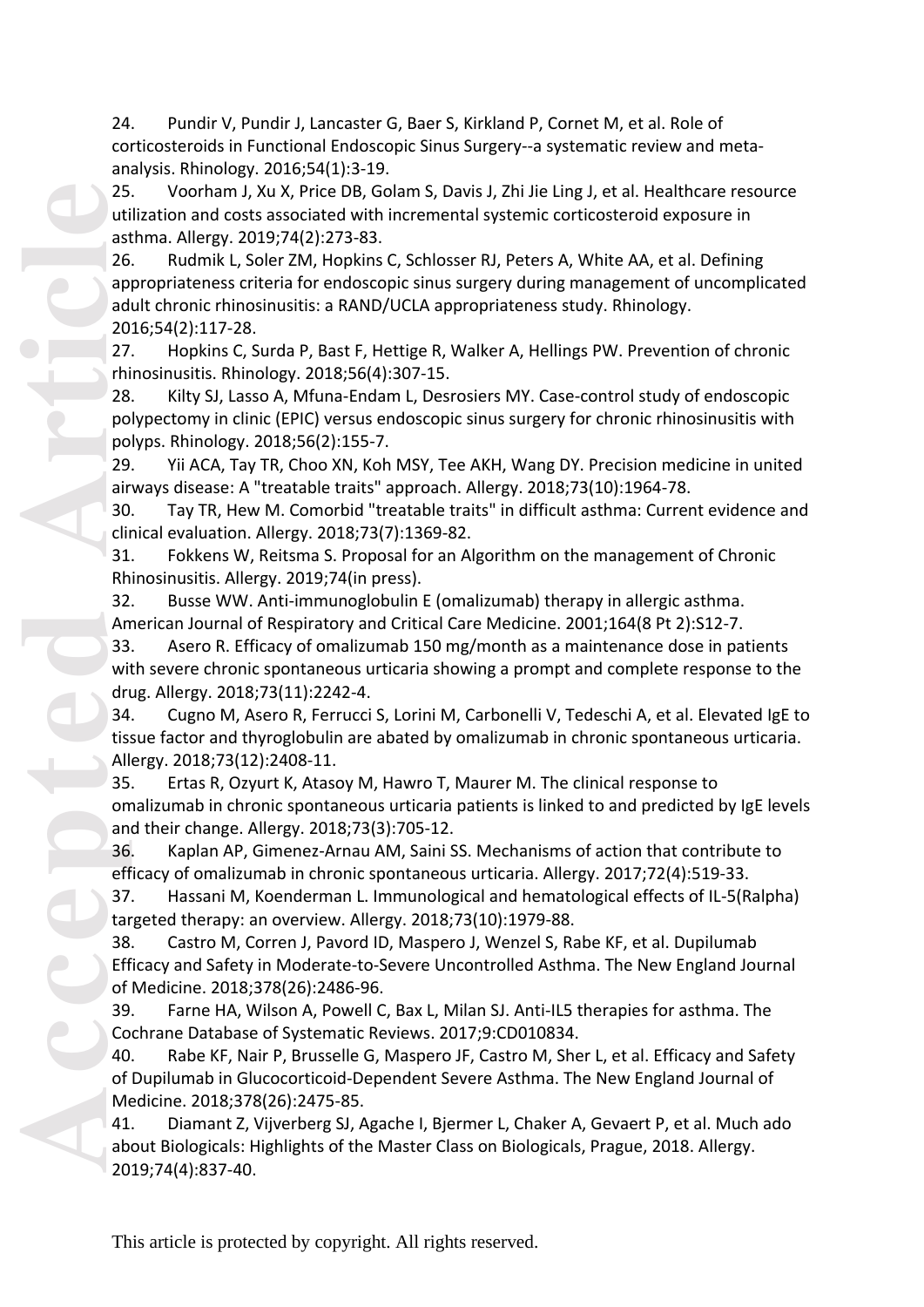24. Pundir V, Pundir J, Lancaster G, Baer S, Kirkland P, Cornet M, et al. Role of corticosteroids in Functional Endoscopic Sinus Surgery--a systematic review and meta analysis. Rhinology. 2016;54(1):3 -19.

25. Voorham J, Xu X, Price DB, Golam S, Davis J, Zhi Jie Ling J, et al. Healthcare resource utilization and costs associated with incremental systemic corticosteroid exposure in asthma. Allergy. 2019;74(2):273 -83.

26. Rudmik L, Soler ZM, Hopkins C, Schlosser RJ, Peters A, White AA, et al. Defining appropriateness criteria for endoscopic sinus surgery during management of uncomplicated adult chronic rhinosinusitis: a RAND/UCLA appropriateness study. Rhinology. 2016;54(2):117 -28.

27. Hopkins C, Surda P, Bast F, Hettige R, Walker A, Hellings PW. Prevention of chronic rhinosinusitis. Rhinology. 2018;56(4):307 -15.

28. Kilty SJ, Lasso A, Mfuna-Endam L, Desrosiers MY. Case-control study of endoscopic polypectomy in clinic (EPIC) versus endoscopic sinus surgery for chronic rhinosinusitis with polyps. Rhinology. 2018;56(2):155 -7.

29. Yii ACA, Tay TR, Choo XN, Koh MSY, Tee AKH, Wang DY. Precision medicine in united airways disease: A "treatable traits" approach. Allergy. 2018;73(10):1964 -78.

30. Tay TR, Hew M. Comorbid "treatable traits" in difficult asthma: Current evidence and clinical evaluation. Allergy. 2018;73(7):1369 -82.

31. Fokkens W, Reitsma S. Proposal for an Algorithm on the management of Chronic Rhinosinusitis. Allergy. 2019;74(in press).

32. Busse WW. Anti -immunoglobulin E (omalizumab) therapy in allergic asthma. American Journal of Respiratory and Critical Care Medicine. 2001;164(8 Pt 2):S12 -7.

33. Asero R. Efficacy of omalizumab 150 mg/month as a maintenance dose in patients with severe chronic spontaneous urticaria showing a prompt and complete response to the drug. Allergy. 2018;73(11):2242 -4.

34. Cugno M, Asero R, Ferrucci S, Lorini M, Carbonelli V, Tedeschi A, et al. Elevated IgE to tissue factor and thyroglobulin are abated by omalizumab in chronic spontaneous urticaria. Allergy. 2018;73(12):2408 -11.

35. Ertas R, Ozyurt K, Atasoy M, Hawro T, Maurer M. The clinical response to omalizumab in chronic spontaneous urticaria patients is linked to and predicted by IgE levels and their change. Allergy. 2018;73(3):705 -12.

36. Kaplan AP, Gimenez -Arnau AM, Saini SS. Mechanisms of action that contribute to efficacy of omalizumab in chronic spontaneous urticaria. Allergy. 2017;72(4):519 -33.

37. Hassani M, Koenderman L. Immunological and hematological effects of IL -5(Ralpha) targeted therapy: an overview. Allergy. 2018;73(10):1979 -88.

38. Castro M, Corren J, Pavord ID, Maspero J, Wenzel S, Rabe KF, et al. Dupilumab Efficacy and Safety in Moderate-to-Severe Uncontrolled Asthma. The New England Journal of Medicine. 2018;378(26):2486 -96.

39. Farne HA, Wilson A, Powell C, Bax L, Milan SJ. Anti -IL5 therapies for asthma. The Cochrane Database of Systematic Reviews. 2017;9:CD010834.

40. Rabe KF, Nair P, Brusselle G, Maspero JF, Castro M, Sher L, et al. Efficacy and Safety of Dupilumab in Glucocorticoid -Dependent Severe Asthma. The New England Journal of Medicine. 2018;378(26):2475 -85.

41. Diamant Z, Vijverberg SJ, Agache I, Bjermer L, Chaker A, Gevaert P, et al. Much ado about Biologicals: Highlights of the Master Class on Biologicals, Prague, 2018. Allergy. 2019;74(4):837 -40.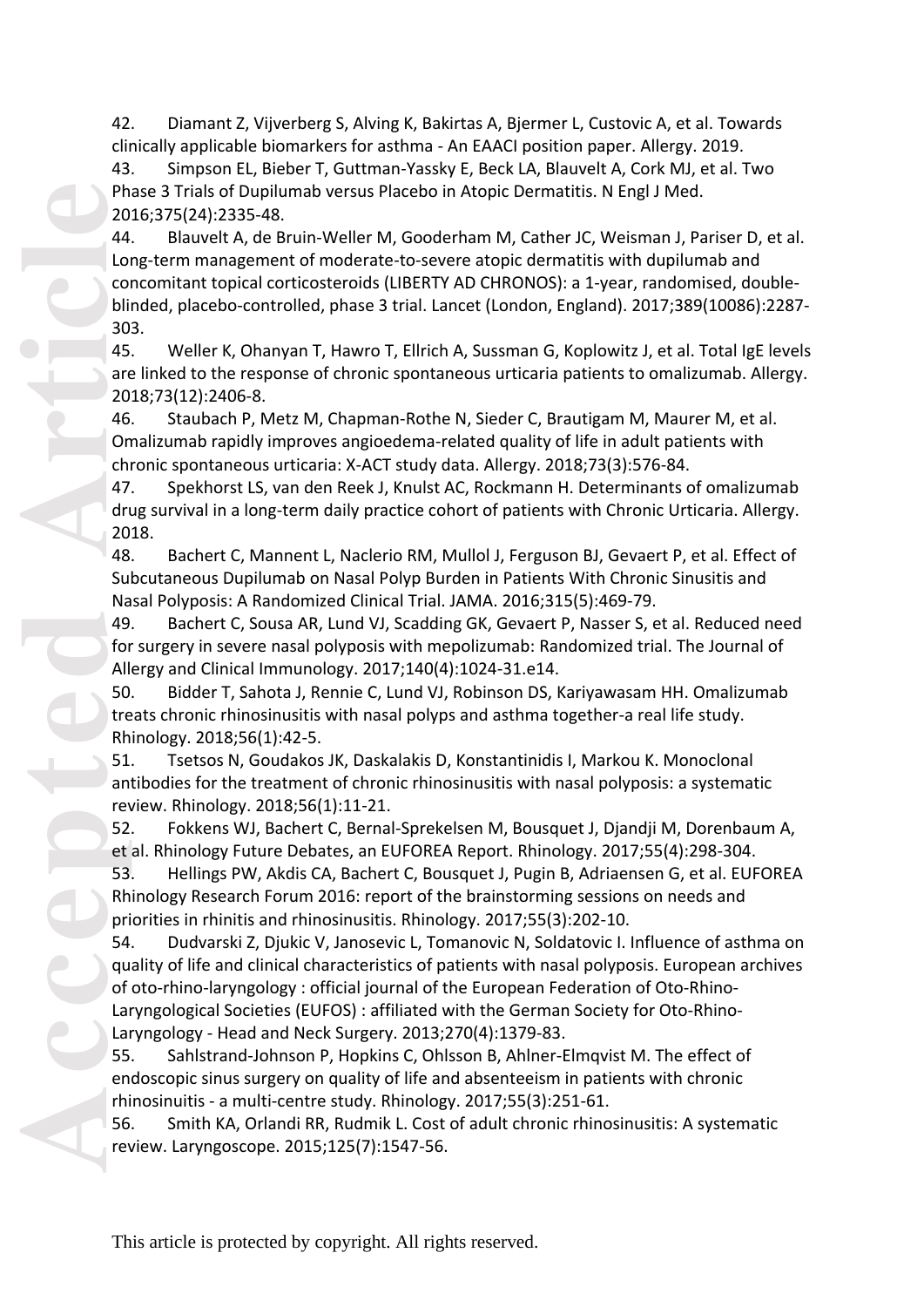42. Diamant Z, Vijverberg S, Alving K, Bakirtas A, Bjermer L, Custovic A, et al. Towards clinically applicable biomarkers for asthma - An EAACI position paper. Allergy. 2019.

43. Simpson EL, Bieber T, Guttman -Yassky E, Beck LA, Blauvelt A, Cork MJ, et al. Two Phase 3 Trials of Dupilumab versus Placebo in Atopic Dermatitis. N Engl J Med. 2016;375(24):2335 -48.

44. Blauvelt A, de Bruin -Weller M, Gooderham M, Cather JC, Weisman J, Pariser D, et al. Long-term management of moderate-to-severe atopic dermatitis with dupilumab and concomitant topical corticosteroids (LIBERTY AD CHRONOS): a 1 -year, randomised, double blinded, placebo -controlled, phase 3 trial. Lancet (London, England). 2017;389(10086):2287 - 303.

45. Weller K, Ohanyan T, Hawro T, Ellrich A, Sussman G, Koplowitz J, et al. Total IgE levels are linked to the response of chronic spontaneous urticaria patients to omalizumab. Allergy. 2018;73(12):2406 -8.

46. Staubach P, Metz M, Chapman -Rothe N, Sieder C, Brautigam M, Maurer M, et al. Omalizumab rapidly improves angioedema -related quality of life in adult patients with chronic spontaneous urticaria: X-ACT study data. Allergy. 2018;73(3):576-84.

47. Spekhorst LS, van den Reek J, Knulst AC, Rockmann H. Determinants of omalizumab drug survival in a long-term daily practice cohort of patients with Chronic Urticaria. Allergy. 2018.

48. Bachert C, Mannent L, Naclerio RM, Mullol J, Ferguson BJ, Gevaert P, et al. Effect of Subcutaneous Dupilumab on Nasal Polyp Burden in Patients With Chronic Sinusitis and Nasal Polyposis: A Randomized Clinical Trial. JAMA. 2016;315(5):469 -79.

49. Bachert C, Sousa AR, Lund VJ, Scadding GK, Gevaert P, Nasser S, et al. Reduced need for surgery in severe nasal polyposis with mepolizumab: Randomized trial. The Journal of Allergy and Clinical Immunology. 2017;140(4):1024 -31.e14.

50. Bidder T, Sahota J, Rennie C, Lund VJ, Robinson DS, Kariyawasam HH. Omalizumab treats chronic rhinosinusitis with nasal polyps and asthma together -a real life study. Rhinology. 2018;56(1):42 -5.

51. Tsetsos N, Goudakos JK, Daskalakis D, Konstantinidis I, Markou K. Monoclonal antibodies for the treatment of chronic rhinosinusitis with nasal polyposis: a systematic review. Rhinology. 2018;56(1):11 -21.

52. Fokkens WJ, Bachert C, Bernal -Sprekelsen M, Bousquet J, Djandji M, Dorenbaum A, et al. Rhinology Future Debates, an EUFOREA Report. Rhinology. 2017;55(4):298 -304.

53. Hellings PW, Akdis CA, Bachert C, Bousquet J, Pugin B, Adriaensen G, et al. EUFOREA Rhinology Research Forum 2016: report of the brainstorming sessions on needs and priorities in rhinitis and rhinosinusitis. Rhinology. 2017;55(3):202 -10.

**Accepted Article** 54. Dudvarski Z, Djukic V, Janosevic L, Tomanovic N, Soldatovic I. Influence of asthma on quality of life and clinical characteristics of patients with nasal polyposis. European archives of oto-rhino-laryngology: official journal of the European Federation of Oto-Rhino-Laryngological Societies (EUFOS) : affiliated with the German Society for Oto-Rhino-Laryngology - Head and Neck Surgery. 2013;270(4):1379 -83.

55. Sahlstrand -Johnson P, Hopkins C, Ohlsson B, Ahlner -Elmqvist M. The effect of endoscopic sinus surgery on quality of life and absenteeism in patients with chronic rhinosinuitis - a multi-centre study. Rhinology. 2017;55(3):251-61.

56. Smith KA, Orlandi RR, Rudmik L. Cost of adult chronic rhinosinusitis: A systematic review. Laryngoscope. 2015;125(7):1547 -56.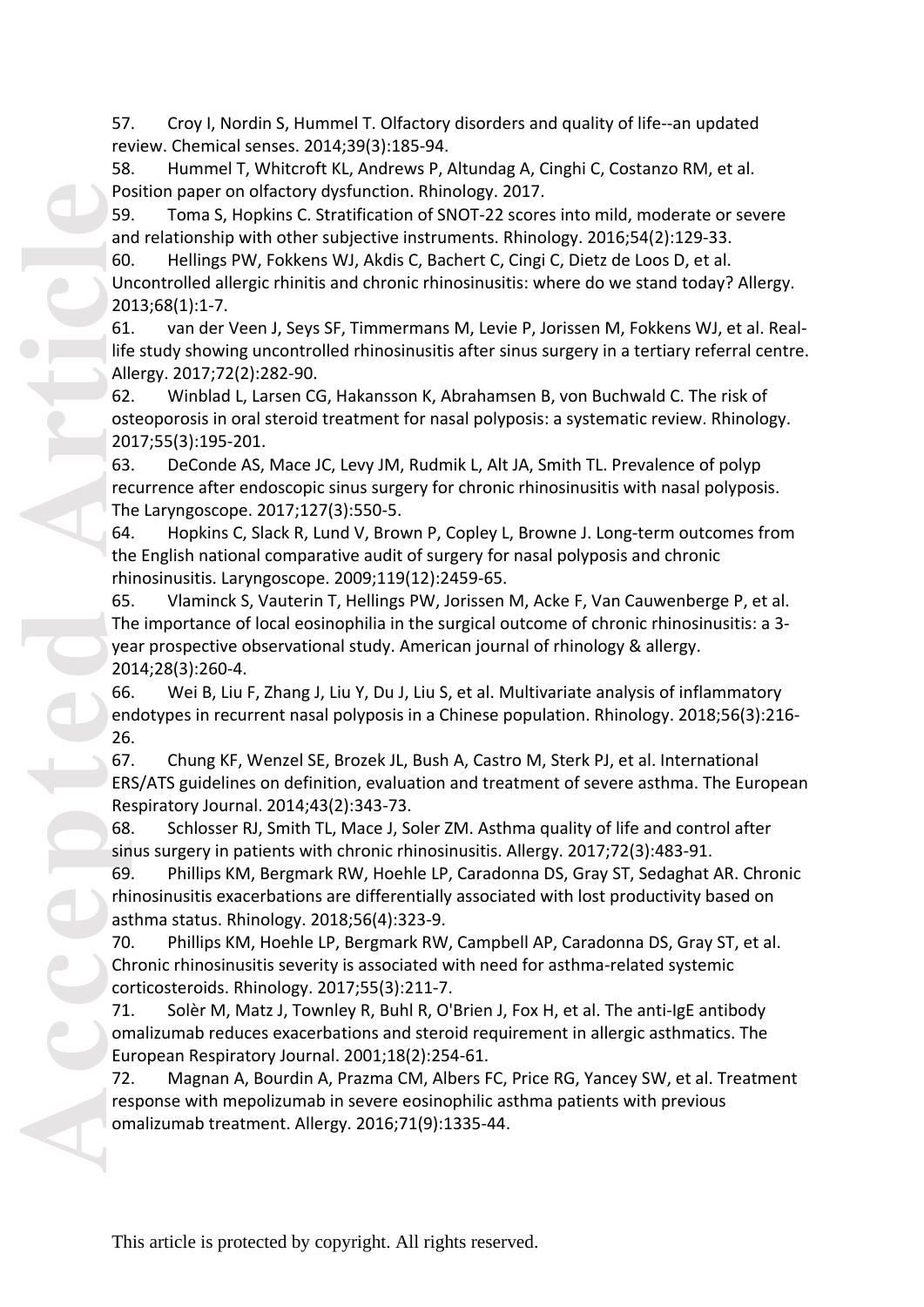57. Croy I, Nordin S, Hummel T. Olfactory disorders and quality of life--an updated review. Chemical senses. 2014;39(3):185 -94.

58. Hummel T, Whitcroft KL, Andrews P, Altundag A, Cinghi C, Costanzo RM, et al. Position paper on olfactory dysfunction. Rhinology. 2017.

59. Toma S, Hopkins C. Stratification of SNOT -22 scores into mild, moderate or severe and relationship with other subjective instruments. Rhinology. 2016;54(2):129 -33.

60. Hellings PW, Fokkens WJ, Akdis C, Bachert C, Cingi C, Dietz de Loos D, et al. Uncontrolled allergic rhinitis and chronic rhinosinusitis: where do we stand today? Allergy. 2013;68(1):1 -7.

61. van der Veen J, Seys SF, Timmermans M, Levie P, Jorissen M, Fokkens WJ, et al. Real life study showing uncontrolled rhinosinusitis after sinus surgery in a tertiary referral centre. Allergy. 2017;72(2):282 -90.

62. Winblad L, Larsen CG, Hakansson K, Abrahamsen B, von Buchwald C. The risk of osteoporosis in oral steroid treatment for nasal polyposis: a systematic review. Rhinology. 2017;55(3):195 -201.

63. DeConde AS, Mace JC, Levy JM, Rudmik L, Alt JA, Smith TL. Prevalence of polyp recurrence after endoscopic sinus surgery for chronic rhinosinusitis with nasal polyposis. The Laryngoscope. 2017;127(3):550 -5.

64. Hopkins C, Slack R, Lund V, Brown P, Copley L, Browne J. Long -term outcomes from the English national comparative audit of surgery for nasal polyposis and chronic rhinosinusitis. Laryngoscope. 2009;119(12):2459 -65.

65. Vlaminck S, Vauterin T, Hellings PW, Jorissen M, Acke F, Van Cauwenberge P, et al. The importance of local eosinophilia in the surgical outcome of chronic rhinosinusitis: a 3 year prospective observational study. American journal of rhinology & allergy. 2014;28(3):260 -4.

66. Wei B, Liu F, Zhang J, Liu Y, Du J, Liu S, et al. Multivariate analysis of inflammatory endotypes in recurrent nasal polyposis in a Chinese population. Rhinology. 2018;56(3):216 - 26.

67. Chung KF, Wenzel SE, Brozek JL, Bush A, Castro M, Sterk PJ, et al. International ERS/ATS guidelines on definition, evaluation and treatment of severe asthma. The European Respiratory Journal. 2014;43(2):343 -73.

68. Schlosser RJ, Smith TL, Mace J, Soler ZM. Asthma quality of life and control after sinus surgery in patients with chronic rhinosinusitis. Allergy. 2017;72(3):48 3 -91.

69. Phillips KM, Bergmark RW, Hoehle LP, Caradonna DS, Gray ST, Sedaghat AR. Chronic rhinosinusitis exacerbations are differentially associated with lost productivity based on asthma status. Rhinology. 2018;56(4):323 -9.

70. Phillips KM, Hoehle LP, Bergmark RW, Campbell AP, Caradonna DS, Gray ST, et al. Chronic rhinosinusitis severity is associated with need for asthma -related systemic corticosteroids. Rhinology. 2017;55(3):211 -7.

71. Solèr M, Matz J, Townley R, Buhl R, O'Brien J, Fox H, et al. The anti-IgE antibody omalizumab reduces exacerbations and steroid requirement in allergic asthmatics. The European Respiratory Journal. 2001;18(2):254 -61.

72. Magnan A, Bourdin A, Prazma CM, Albers FC, Price RG, Yancey SW, et al. Treatment response with mepolizumab in severe eosinophilic asthma patients with previous omalizumab treatment. Allergy. 2016;71(9):1335 -44.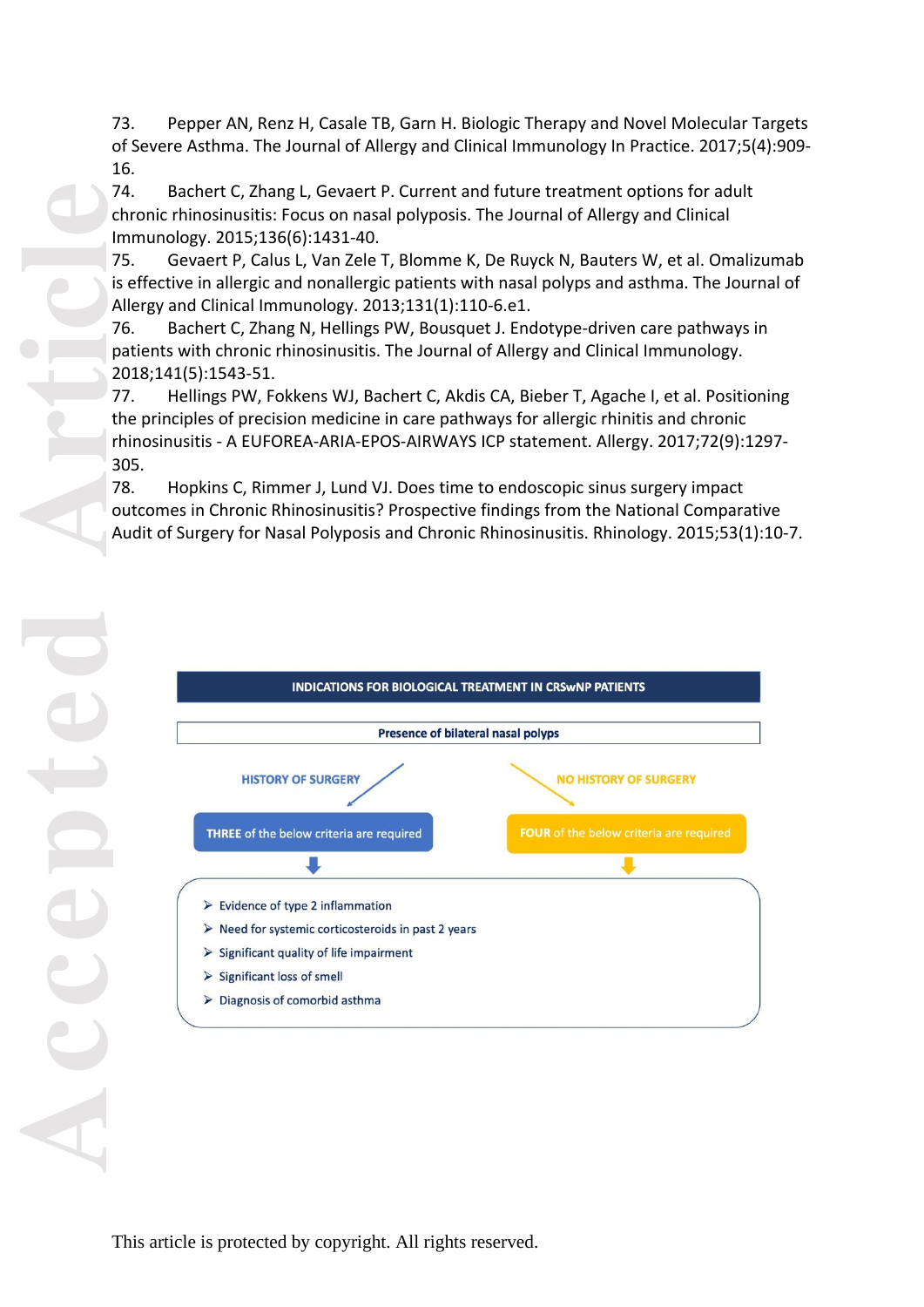73. Pepper AN, Renz H, Casale TB, Garn H. Biologic Therapy and Novel Molecular Targets of Severe Asthma. The Journal of Allergy and Clinical Immunology In Practice. 2017;5(4):909 - 16.

74. Bachert C, Zhang L, Gevaert P. Current and future treatment options for adult chronic rhinosinusitis: Focus on nasal polyposis. The Journal of Allergy and Clinical Immunology. 2015;136(6):1431 -40.

75. Gevaert P, Calus L, Van Zele T, Blomme K, De Ruyck N, Bauters W, et al. Omalizumab is effective in allergic and nonallergic patients with nasal polyps and asthma. The Journal of Allergy and Clinical Immunology. 2013;131(1):110 -6.e1.

76. Bachert C, Zhang N, Hellings PW, Bousquet J. Endotype -driven care pathways in patients with chronic rhinosinusitis. The Journal of Allergy and Clinical Immunology. 2018;141(5):1543 -51.

77. Hellings PW, Fokkens WJ, Bachert C, Akdis CA, Bieber T, Agache I, et al. Positioning the principles of precision medicine in care pathways for allergic rhinitis and chronic rhinosinusitis - A EUFOREA-ARIA-EPOS-AIRWAYS ICP statement. Allergy. 2017;72(9):1297-305.

78. Hopkins C, Rimmer J, Lund VJ. Does time to endoscopic sinus surgery impact outcomes in Chronic Rhinosinusitis? Prospective findings from the National Comparative Audit of Surgery for Nasal Polyposis and Chronic Rhinosinusitis. Rhinology. 2015;53(1):10 -7.